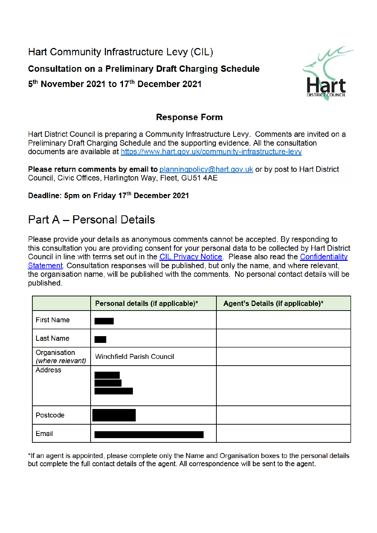Hart Community Infrastructure Levy (CIL) **Consultation on a Preliminary Draft Charging Schedule** 5<sup>th</sup> November 2021 to 17<sup>th</sup> December 2021



## **Response Form**

Hart District Council is preparing a Community Infrastructure Levy. Comments are invited on a Preliminary Draft Charging Schedule and the supporting evidence. All the consultation documents are available at https://www.hart.gov.uk/community-infrastructure-levy

Please return comments by email to planningpolicy@hart.gov.uk or by post to Hart District Council, Civic Offices, Harlington Way, Fleet, GU51 4AE

Deadline: 5pm on Friday 17th December 2021

## **Part A - Personal Details**

Please provide your details as anonymous comments cannot be accepted. By responding to this consultation you are providing consent for your personal data to be collected by Hart District Council in line with terms set out in the CIL Privacy Notice. Please also read the Confidentiality Statement. Consultation responses will be published, but only the name, and where relevant, the organisation name, will be published with the comments. No personal contact details will be published.

|                                  | Personal details (if applicable)* | Agent's Details (if applicable)* |
|----------------------------------|-----------------------------------|----------------------------------|
| <b>First Name</b>                |                                   |                                  |
| <b>Last Name</b>                 |                                   |                                  |
| Organisation<br>(where relevant) | <b>Winchfield Parish Council</b>  |                                  |
| <b>Address</b>                   |                                   |                                  |
| Postcode                         |                                   |                                  |
| Email                            |                                   |                                  |

\*If an agent is appointed, please complete only the Name and Organisation boxes to the personal details but complete the full contact details of the agent. All correspondence will be sent to the agent.